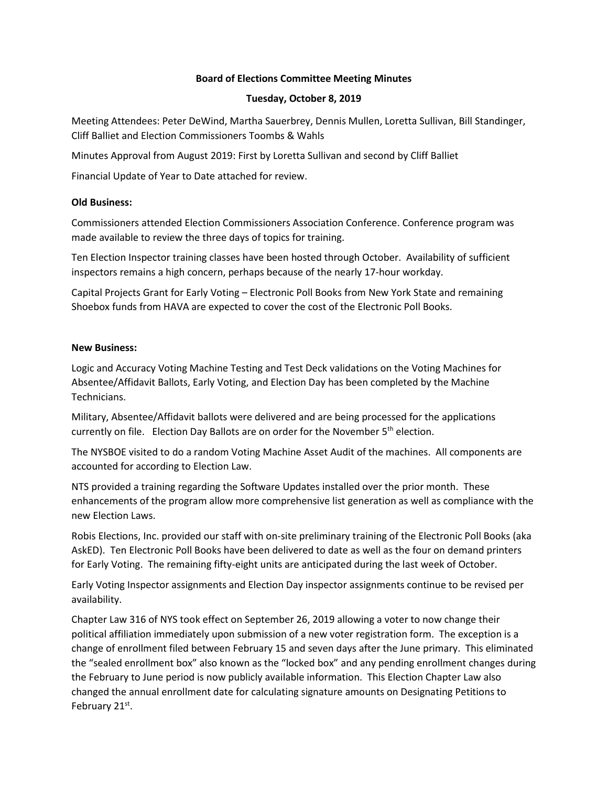## **Board of Elections Committee Meeting Minutes**

### **Tuesday, October 8, 2019**

Meeting Attendees: Peter DeWind, Martha Sauerbrey, Dennis Mullen, Loretta Sullivan, Bill Standinger, Cliff Balliet and Election Commissioners Toombs & Wahls

Minutes Approval from August 2019: First by Loretta Sullivan and second by Cliff Balliet

Financial Update of Year to Date attached for review.

### **Old Business:**

Commissioners attended Election Commissioners Association Conference. Conference program was made available to review the three days of topics for training.

Ten Election Inspector training classes have been hosted through October. Availability of sufficient inspectors remains a high concern, perhaps because of the nearly 17-hour workday.

Capital Projects Grant for Early Voting – Electronic Poll Books from New York State and remaining Shoebox funds from HAVA are expected to cover the cost of the Electronic Poll Books.

#### **New Business:**

Logic and Accuracy Voting Machine Testing and Test Deck validations on the Voting Machines for Absentee/Affidavit Ballots, Early Voting, and Election Day has been completed by the Machine Technicians.

Military, Absentee/Affidavit ballots were delivered and are being processed for the applications currently on file. Election Day Ballots are on order for the November 5<sup>th</sup> election.

The NYSBOE visited to do a random Voting Machine Asset Audit of the machines. All components are accounted for according to Election Law.

NTS provided a training regarding the Software Updates installed over the prior month. These enhancements of the program allow more comprehensive list generation as well as compliance with the new Election Laws.

Robis Elections, Inc. provided our staff with on-site preliminary training of the Electronic Poll Books (aka AskED). Ten Electronic Poll Books have been delivered to date as well as the four on demand printers for Early Voting. The remaining fifty-eight units are anticipated during the last week of October.

Early Voting Inspector assignments and Election Day inspector assignments continue to be revised per availability.

Chapter Law 316 of NYS took effect on September 26, 2019 allowing a voter to now change their political affiliation immediately upon submission of a new voter registration form. The exception is a change of enrollment filed between February 15 and seven days after the June primary. This eliminated the "sealed enrollment box" also known as the "locked box" and any pending enrollment changes during the February to June period is now publicly available information. This Election Chapter Law also changed the annual enrollment date for calculating signature amounts on Designating Petitions to February 21st.